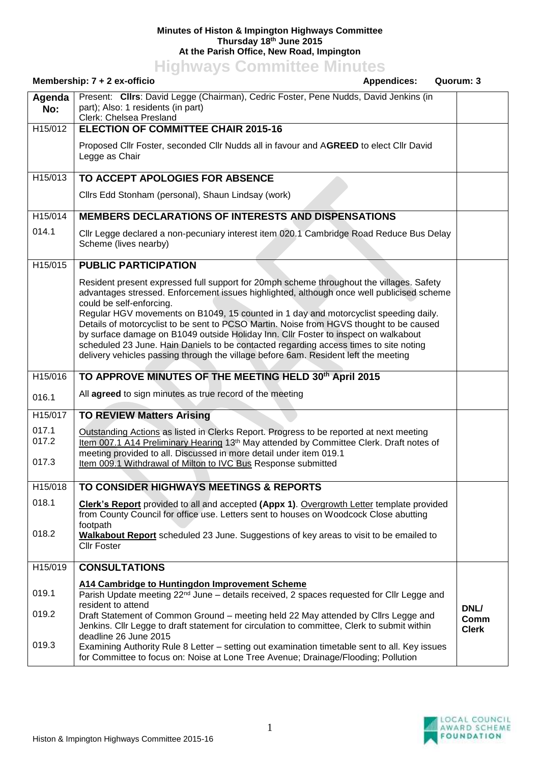## **Minutes of Histon & Impington Highways Committee Thursday 18th June 2015 At the Parish Office, New Road, Impington**

**Highways Committee Minutes**

| Membership: 7 + 2 ex-officio<br><b>Appendices:</b> |                                                                                                                                                                                                                                                                                                                                                                                                                                                                                                                                                                                                                                                                             | Quorum: 3    |
|----------------------------------------------------|-----------------------------------------------------------------------------------------------------------------------------------------------------------------------------------------------------------------------------------------------------------------------------------------------------------------------------------------------------------------------------------------------------------------------------------------------------------------------------------------------------------------------------------------------------------------------------------------------------------------------------------------------------------------------------|--------------|
| Agenda<br>No:                                      | Present: Clirs: David Legge (Chairman), Cedric Foster, Pene Nudds, David Jenkins (in<br>part); Also: 1 residents (in part)<br>Clerk: Chelsea Presland                                                                                                                                                                                                                                                                                                                                                                                                                                                                                                                       |              |
| H15/012                                            | <b>ELECTION OF COMMITTEE CHAIR 2015-16</b>                                                                                                                                                                                                                                                                                                                                                                                                                                                                                                                                                                                                                                  |              |
|                                                    | Proposed Cllr Foster, seconded Cllr Nudds all in favour and AGREED to elect Cllr David<br>Legge as Chair                                                                                                                                                                                                                                                                                                                                                                                                                                                                                                                                                                    |              |
| H15/013                                            | TO ACCEPT APOLOGIES FOR ABSENCE                                                                                                                                                                                                                                                                                                                                                                                                                                                                                                                                                                                                                                             |              |
|                                                    | Cllrs Edd Stonham (personal), Shaun Lindsay (work)                                                                                                                                                                                                                                                                                                                                                                                                                                                                                                                                                                                                                          |              |
| $\overline{H15}/014$                               | <b>MEMBERS DECLARATIONS OF INTERESTS AND DISPENSATIONS</b>                                                                                                                                                                                                                                                                                                                                                                                                                                                                                                                                                                                                                  |              |
| 014.1                                              | Cllr Legge declared a non-pecuniary interest item 020.1 Cambridge Road Reduce Bus Delay<br>Scheme (lives nearby)                                                                                                                                                                                                                                                                                                                                                                                                                                                                                                                                                            |              |
| H15/015                                            | <b>PUBLIC PARTICIPATION</b>                                                                                                                                                                                                                                                                                                                                                                                                                                                                                                                                                                                                                                                 |              |
|                                                    | Resident present expressed full support for 20mph scheme throughout the villages. Safety<br>advantages stressed. Enforcement issues highlighted, although once well publicised scheme<br>could be self-enforcing.<br>Regular HGV movements on B1049, 15 counted in 1 day and motorcyclist speeding daily.<br>Details of motorcyclist to be sent to PCSO Martin. Noise from HGVS thought to be caused<br>by surface damage on B1049 outside Holiday Inn. Cllr Foster to inspect on walkabout<br>scheduled 23 June. Hain Daniels to be contacted regarding access times to site noting<br>delivery vehicles passing through the village before 6am. Resident left the meeting |              |
| H15/016                                            | TO APPROVE MINUTES OF THE MEETING HELD 30th April 2015                                                                                                                                                                                                                                                                                                                                                                                                                                                                                                                                                                                                                      |              |
| 016.1                                              | All agreed to sign minutes as true record of the meeting                                                                                                                                                                                                                                                                                                                                                                                                                                                                                                                                                                                                                    |              |
| H15/017                                            | <b>TO REVIEW Matters Arising</b>                                                                                                                                                                                                                                                                                                                                                                                                                                                                                                                                                                                                                                            |              |
| 017.1<br>017.2<br>017.3                            | Outstanding Actions as listed in Clerks Report. Progress to be reported at next meeting<br>Item 007.1 A14 Preliminary Hearing 13th May attended by Committee Clerk. Draft notes of<br>meeting provided to all. Discussed in more detail under item 019.1<br>Item 009.1 Withdrawal of Milton to IVC Bus Response submitted                                                                                                                                                                                                                                                                                                                                                   |              |
|                                                    |                                                                                                                                                                                                                                                                                                                                                                                                                                                                                                                                                                                                                                                                             |              |
| H15/018                                            | TO CONSIDER HIGHWAYS MEETINGS & REPORTS                                                                                                                                                                                                                                                                                                                                                                                                                                                                                                                                                                                                                                     |              |
| 018.1                                              | <b>Clerk's Report</b> provided to all and accepted (Appx 1). Overgrowth Letter template provided<br>from County Council for office use. Letters sent to houses on Woodcock Close abutting<br>footpath                                                                                                                                                                                                                                                                                                                                                                                                                                                                       |              |
| 018.2                                              | Walkabout Report scheduled 23 June. Suggestions of key areas to visit to be emailed to<br><b>Cllr Foster</b>                                                                                                                                                                                                                                                                                                                                                                                                                                                                                                                                                                |              |
| H15/019                                            | <b>CONSULTATIONS</b>                                                                                                                                                                                                                                                                                                                                                                                                                                                                                                                                                                                                                                                        |              |
| 019.1                                              | A14 Cambridge to Huntingdon Improvement Scheme<br>Parish Update meeting 22 <sup>nd</sup> June – details received, 2 spaces requested for Cllr Legge and<br>resident to attend                                                                                                                                                                                                                                                                                                                                                                                                                                                                                               | DNL/         |
| 019.2                                              | Draft Statement of Common Ground – meeting held 22 May attended by Cllrs Legge and                                                                                                                                                                                                                                                                                                                                                                                                                                                                                                                                                                                          | Comm         |
| 019.3                                              | Jenkins. Cllr Legge to draft statement for circulation to committee, Clerk to submit within<br>deadline 26 June 2015<br>Examining Authority Rule 8 Letter - setting out examination timetable sent to all. Key issues<br>for Committee to focus on: Noise at Lone Tree Avenue; Drainage/Flooding; Pollution                                                                                                                                                                                                                                                                                                                                                                 | <b>Clerk</b> |